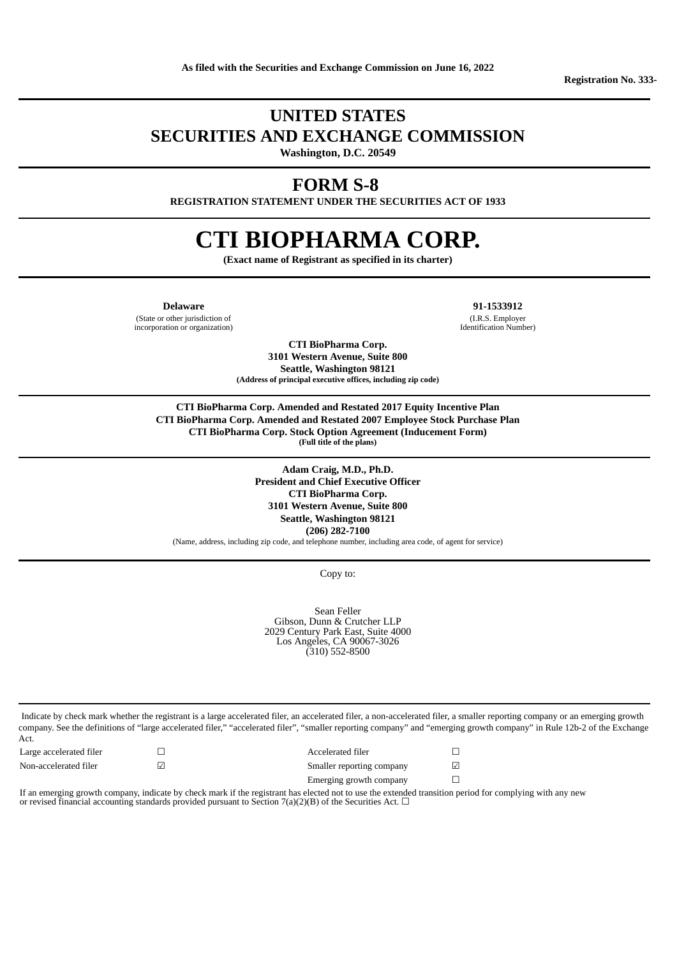## **UNITED STATES SECURITIES AND EXCHANGE COMMISSION**

**Washington, D.C. 20549**

## **FORM S-8**

**REGISTRATION STATEMENT UNDER THE SECURITIES ACT OF 1933**

# **CTI BIOPHARMA CORP.**

**(Exact name of Registrant as specified in its charter)**

**Delaware 91-1533912**

(State or other jurisdiction of incorporation or organization)

> **CTI BioPharma Corp. 3101 Western Avenue, Suite 800 Seattle, Washington 98121 (Address of principal executive offices, including zip code)**

(I.R.S. Employer Identification Number)

**CTI BioPharma Corp. Amended and Restated 2017 Equity Incentive Plan CTI BioPharma Corp. Amended and Restated 2007 Employee Stock Purchase Plan CTI BioPharma Corp. Stock Option Agreement (Inducement Form) (Full title of the plans)**

> **Adam Craig, M.D., Ph.D. President and Chief Executive Officer CTI BioPharma Corp. 3101 Western Avenue, Suite 800 Seattle, Washington 98121 (206) 282-7100**

(Name, address, including zip code, and telephone number, including area code, of agent for service)

Copy to:

Sean Feller Gibson, Dunn & Crutcher LLP 2029 Century Park East, Suite 4000 Los Angeles, CA 90067-3026 (310) 552-8500

Indicate by check mark whether the registrant is a large accelerated filer, an accelerated filer, a non-accelerated filer, a smaller reporting company or an emerging growth company. See the definitions of "large accelerated filer," "accelerated filer", "smaller reporting company" and "emerging growth company" in Rule 12b-2 of the Exchange Act.

Large accelerated filer □ □ Accelerated filer □ Non-accelerated filer **□** □ □ □ □ Smaller reporting company □ Emerging growth company □

If an emerging growth company, indicate by check mark if the registrant has elected not to use the extended transition period for complying with any new or revised financial accounting standards provided pursuant to Section 7(a)(2)(B) of the Securities Act.  $\Box$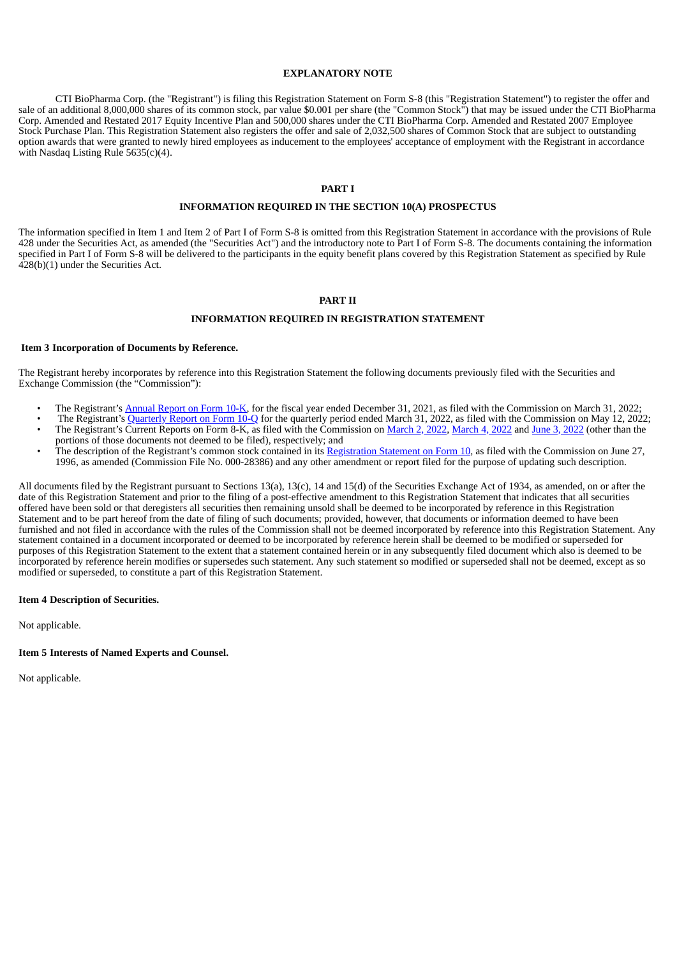#### **EXPLANATORY NOTE**

CTI BioPharma Corp. (the "Registrant") is filing this Registration Statement on Form S-8 (this "Registration Statement") to register the offer and sale of an additional 8,000,000 shares of its common stock, par value \$0.001 per share (the "Common Stock") that may be issued under the CTI BioPharma Corp. Amended and Restated 2017 Equity Incentive Plan and 500,000 shares under the CTI BioPharma Corp. Amended and Restated 2007 Employee Stock Purchase Plan. This Registration Statement also registers the offer and sale of 2,032,500 shares of Common Stock that are subject to outstanding option awards that were granted to newly hired employees as inducement to the employees' acceptance of employment with the Registrant in accordance with Nasdaq Listing Rule 5635(c)(4).

#### **PART I**

#### **INFORMATION REQUIRED IN THE SECTION 10(A) PROSPECTUS**

The information specified in Item 1 and Item 2 of Part I of Form S-8 is omitted from this Registration Statement in accordance with the provisions of Rule 428 under the Securities Act, as amended (the "Securities Act") and the introductory note to Part I of Form S-8. The documents containing the information specified in Part I of Form S-8 will be delivered to the participants in the equity benefit plans covered by this Registration Statement as specified by Rule 428(b)(1) under the Securities Act.

#### **PART II**

#### **INFORMATION REQUIRED IN REGISTRATION STATEMENT**

#### **Item 3 Incorporation of Documents by Reference.**

The Registrant hereby incorporates by reference into this Registration Statement the following documents previously filed with the Securities and Exchange Commission (the "Commission"):

- The Registrant's [Annual](https://www.sec.gov/ix?doc=/Archives/edgar/data/891293/000089129322000010/ctic-20211231.htm) Report on Form 10-K, for the fiscal year ended December 31, 2021, as filed with the Commission on March 31, 2022;
- The Registrant's [Quarterly](https://www.sec.gov/ix?doc=/Archives/edgar/data/891293/000089129322000026/ctic-20220331.htm) Report on Form 10-Q for the quarterly period ended March 31, 2022, as filed with the Commission on May 12, 2022; • The Registrant's Current Reports on Form 8-K, as filed with the Commission on [March](https://www.sec.gov/ix?doc=/Archives/edgar/data/891293/000119312522061828/d292261d8k.htm) 2, 2022, [March](https://www.sec.gov/ix?doc=/Archives/edgar/data/891293/000119312522066282/d291963d8k.htm) 4, [2022](https://www.sec.gov/ix?doc=/Archives/edgar/data/891293/000119312522066282/d291963d8k.htm) and June 3, [2022](https://www.sec.gov/ix?doc=/Archives/edgar/data/891293/000119312522167307/d357594d8k.htm) (other than the
- portions of those documents not deemed to be filed), respectively; and The description of the Registrant's common stock contained in its [Registration](https://www.sec.gov/Archives/edgar/data/891293/0000950109-96-004078.txt) Statement on Form 10, as filed with the Commission on June 27, 1996, as amended (Commission File No. 000-28386) and any other amendment or report filed for the purpose of updating such description.

All documents filed by the Registrant pursuant to Sections 13(a), 13(c), 14 and 15(d) of the Securities Exchange Act of 1934, as amended, on or after the date of this Registration Statement and prior to the filing of a post-effective amendment to this Registration Statement that indicates that all securities offered have been sold or that deregisters all securities then remaining unsold shall be deemed to be incorporated by reference in this Registration Statement and to be part hereof from the date of filing of such documents; provided, however, that documents or information deemed to have been furnished and not filed in accordance with the rules of the Commission shall not be deemed incorporated by reference into this Registration Statement. Any statement contained in a document incorporated or deemed to be incorporated by reference herein shall be deemed to be modified or superseded for purposes of this Registration Statement to the extent that a statement contained herein or in any subsequently filed document which also is deemed to be incorporated by reference herein modifies or supersedes such statement. Any such statement so modified or superseded shall not be deemed, except as so modified or superseded, to constitute a part of this Registration Statement.

#### **Item 4 Description of Securities.**

Not applicable.

#### **Item 5 Interests of Named Experts and Counsel.**

Not applicable.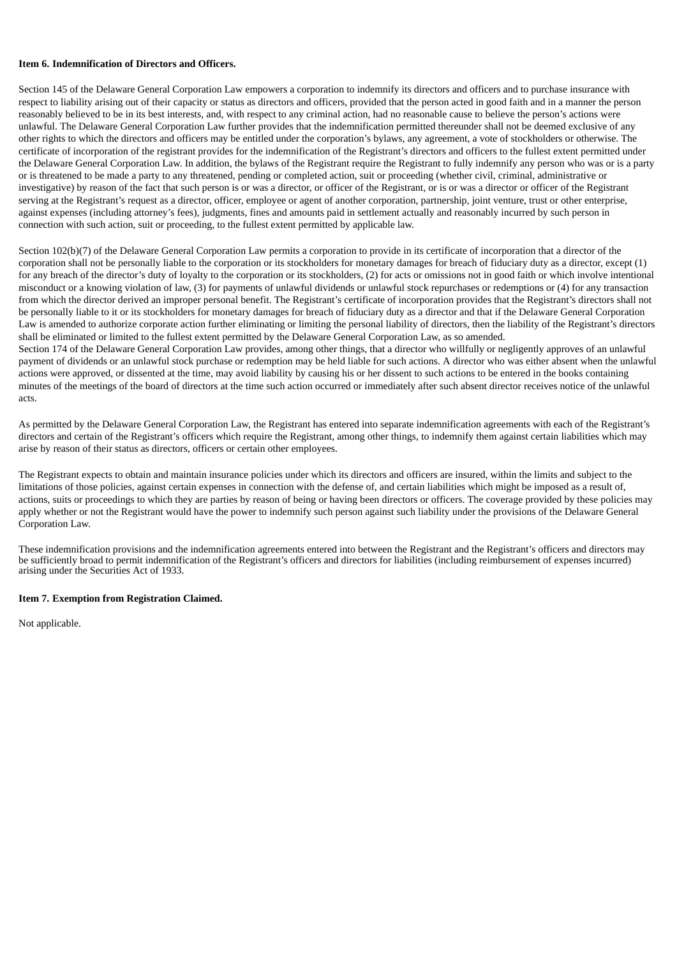#### **Item 6. Indemnification of Directors and Officers.**

Section 145 of the Delaware General Corporation Law empowers a corporation to indemnify its directors and officers and to purchase insurance with respect to liability arising out of their capacity or status as directors and officers, provided that the person acted in good faith and in a manner the person reasonably believed to be in its best interests, and, with respect to any criminal action, had no reasonable cause to believe the person's actions were unlawful. The Delaware General Corporation Law further provides that the indemnification permitted thereunder shall not be deemed exclusive of any other rights to which the directors and officers may be entitled under the corporation's bylaws, any agreement, a vote of stockholders or otherwise. The certificate of incorporation of the registrant provides for the indemnification of the Registrant's directors and officers to the fullest extent permitted under the Delaware General Corporation Law. In addition, the bylaws of the Registrant require the Registrant to fully indemnify any person who was or is a party or is threatened to be made a party to any threatened, pending or completed action, suit or proceeding (whether civil, criminal, administrative or investigative) by reason of the fact that such person is or was a director, or officer of the Registrant, or is or was a director or officer of the Registrant serving at the Registrant's request as a director, officer, employee or agent of another corporation, partnership, joint venture, trust or other enterprise, against expenses (including attorney's fees), judgments, fines and amounts paid in settlement actually and reasonably incurred by such person in connection with such action, suit or proceeding, to the fullest extent permitted by applicable law.

Section 102(b)(7) of the Delaware General Corporation Law permits a corporation to provide in its certificate of incorporation that a director of the corporation shall not be personally liable to the corporation or its stockholders for monetary damages for breach of fiduciary duty as a director, except (1) for any breach of the director's duty of loyalty to the corporation or its stockholders, (2) for acts or omissions not in good faith or which involve intentional misconduct or a knowing violation of law, (3) for payments of unlawful dividends or unlawful stock repurchases or redemptions or (4) for any transaction from which the director derived an improper personal benefit. The Registrant's certificate of incorporation provides that the Registrant's directors shall not be personally liable to it or its stockholders for monetary damages for breach of fiduciary duty as a director and that if the Delaware General Corporation Law is amended to authorize corporate action further eliminating or limiting the personal liability of directors, then the liability of the Registrant's directors shall be eliminated or limited to the fullest extent permitted by the Delaware General Corporation Law, as so amended.

Section 174 of the Delaware General Corporation Law provides, among other things, that a director who willfully or negligently approves of an unlawful payment of dividends or an unlawful stock purchase or redemption may be held liable for such actions. A director who was either absent when the unlawful actions were approved, or dissented at the time, may avoid liability by causing his or her dissent to such actions to be entered in the books containing minutes of the meetings of the board of directors at the time such action occurred or immediately after such absent director receives notice of the unlawful acts.

As permitted by the Delaware General Corporation Law, the Registrant has entered into separate indemnification agreements with each of the Registrant's directors and certain of the Registrant's officers which require the Registrant, among other things, to indemnify them against certain liabilities which may arise by reason of their status as directors, officers or certain other employees.

The Registrant expects to obtain and maintain insurance policies under which its directors and officers are insured, within the limits and subject to the limitations of those policies, against certain expenses in connection with the defense of, and certain liabilities which might be imposed as a result of, actions, suits or proceedings to which they are parties by reason of being or having been directors or officers. The coverage provided by these policies may apply whether or not the Registrant would have the power to indemnify such person against such liability under the provisions of the Delaware General Corporation Law.

These indemnification provisions and the indemnification agreements entered into between the Registrant and the Registrant's officers and directors may be sufficiently broad to permit indemnification of the Registrant's officers and directors for liabilities (including reimbursement of expenses incurred) arising under the Securities Act of 1933.

#### **Item 7. Exemption from Registration Claimed.**

Not applicable.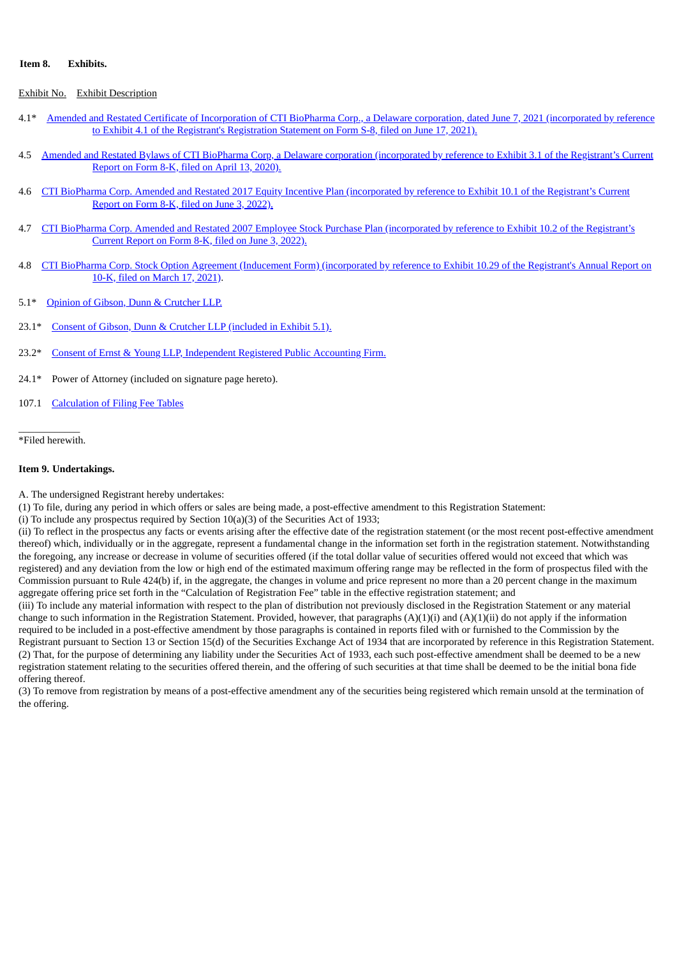#### **Item 8. Exhibits.**

#### Exhibit No. Exhibit Description

- 4.1\* Amended and Restated Certificate of [Incorporation](https://www.sec.gov/Archives/edgar/data/891293/000089129321000034/exhibit41-amendedandrestat.htm) of CTI BioPharma Corp., a Delaware corporation, dated June 7, 2021 (incorporated by reference to Exhibit 4.1 of the Registrant's Registration Statement on Form S-8, filed on June 17, 2021).
- 4.5 Amended and Restated Bylaws of CTI BioPharma Corp, a Delaware corporation [\(incorporated](https://www.sec.gov/Archives/edgar/data/891293/000089129320000023/ex31arbylaws.htm) by reference to Exhibit 3.1 of the Registrant's Current Report on Form 8-K, filed on April 13, 2020).
- 4.6 CTI BioPharma Corp. Amended and Restated 2017 Equity Incentive Plan [\(incorporated](https://www.sec.gov/Archives/edgar/data/891293/000119312522167307/d357594dex101.htm) by reference to Exhibit 10.1 of the Registrant's Current Report on Form 8-K, filed on June 3, 2022).
- 4.7 CTI BioPharma Corp. Amended and Restated 2007 Employee Stock Purchase Plan [\(incorporated](https://www.sec.gov/Archives/edgar/data/891293/000119312522167307/d357594dex102.htm) by reference to Exhibit 10.2 of the Registrant's Current Report on Form 8-K, filed on June 3, 2022).
- 4.8 CTI BioPharma Corp. Stock Option Agreement (Inducement Form) [\(incorporated](https://www.sec.gov/Archives/edgar/data/0000891293/000089129321000008/a2020ex1029optionagreement.htm) by reference to Exhibit 10.29 of the Registrant's Annual Report on 10-K, filed on March 17, 2021).
- 5.1\* Opinion of Gibson, Dunn & [Crutcher](#page-7-0) LLP.
- 23.1\* Consent of Gibson, Dunn & Crutcher LLP [\(included](#page-7-0) in Exhibit 5.1).
- 23.2\* Consent of Ernst & Young LLP, [Independent](#page-9-0) Registered Public Accounting Firm.
- 24.1\* Power of Attorney (included on signature page hereto).
- 107.1 [Calculation](#page-6-0) of Filing Fee Tables

 $\overline{\phantom{a}}$  , where  $\overline{\phantom{a}}$ \*Filed herewith.

#### **Item 9. Undertakings.**

A. The undersigned Registrant hereby undertakes:

(1) To file, during any period in which offers or sales are being made, a post-effective amendment to this Registration Statement:

(i) To include any prospectus required by Section 10(a)(3) of the Securities Act of 1933;

(ii) To reflect in the prospectus any facts or events arising after the effective date of the registration statement (or the most recent post-effective amendment thereof) which, individually or in the aggregate, represent a fundamental change in the information set forth in the registration statement. Notwithstanding the foregoing, any increase or decrease in volume of securities offered (if the total dollar value of securities offered would not exceed that which was registered) and any deviation from the low or high end of the estimated maximum offering range may be reflected in the form of prospectus filed with the Commission pursuant to Rule 424(b) if, in the aggregate, the changes in volume and price represent no more than a 20 percent change in the maximum aggregate offering price set forth in the "Calculation of Registration Fee" table in the effective registration statement; and

(iii) To include any material information with respect to the plan of distribution not previously disclosed in the Registration Statement or any material change to such information in the Registration Statement. Provided, however, that paragraphs  $(A)(1)(i)$  and  $(A)(1)(ii)$  do not apply if the information required to be included in a post-effective amendment by those paragraphs is contained in reports filed with or furnished to the Commission by the Registrant pursuant to Section 13 or Section 15(d) of the Securities Exchange Act of 1934 that are incorporated by reference in this Registration Statement. (2) That, for the purpose of determining any liability under the Securities Act of 1933, each such post-effective amendment shall be deemed to be a new registration statement relating to the securities offered therein, and the offering of such securities at that time shall be deemed to be the initial bona fide offering thereof.

(3) To remove from registration by means of a post-effective amendment any of the securities being registered which remain unsold at the termination of the offering.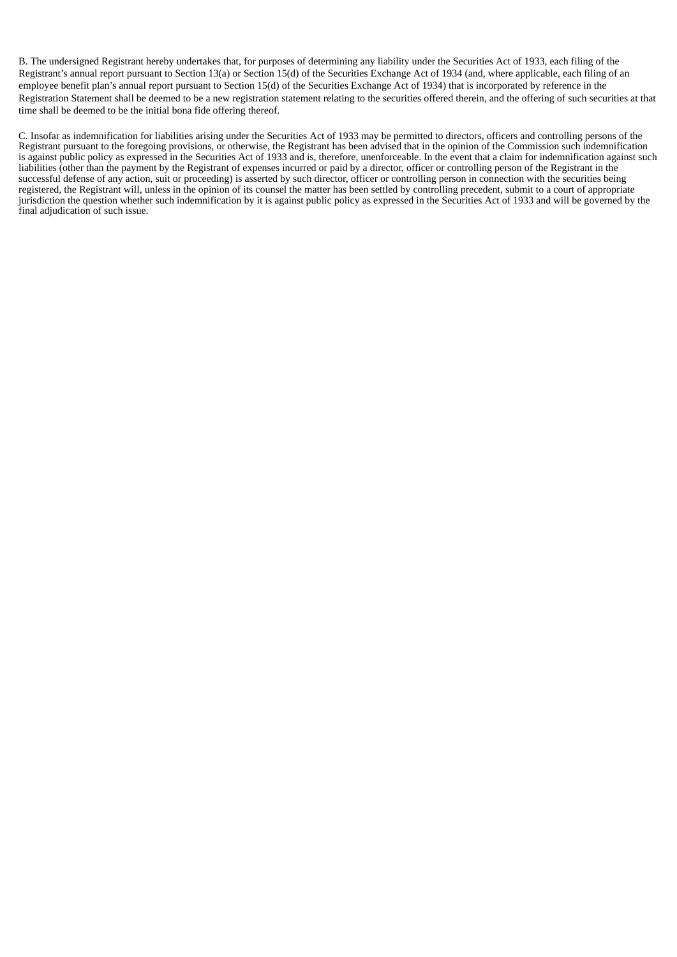B. The undersigned Registrant hereby undertakes that, for purposes of determining any liability under the Securities Act of 1933, each filing of the Registrant's annual report pursuant to Section 13(a) or Section 15(d) of the Securities Exchange Act of 1934 (and, where applicable, each filing of an employee benefit plan's annual report pursuant to Section 15(d) of the Securities Exchange Act of 1934) that is incorporated by reference in the Registration Statement shall be deemed to be a new registration statement relating to the securities offered therein, and the offering of such securities at that time shall be deemed to be the initial bona fide offering thereof.

C. Insofar as indemnification for liabilities arising under the Securities Act of 1933 may be permitted to directors, officers and controlling persons of the Registrant pursuant to the foregoing provisions, or otherwise, the Registrant has been advised that in the opinion of the Commission such indemnification is against public policy as expressed in the Securities Act of 1933 and is, therefore, unenforceable. In the event that a claim for indemnification against such liabilities (other than the payment by the Registrant of expenses incurred or paid by a director, officer or controlling person of the Registrant in the successful defense of any action, suit or proceeding) is asserted by such director, officer or controlling person in connection with the securities being registered, the Registrant will, unless in the opinion of its counsel the matter has been settled by controlling precedent, submit to a court of appropriate jurisdiction the question whether such indemnification by it is against public policy as expressed in the Securities Act of 1933 and will be governed by the final adjudication of such issue.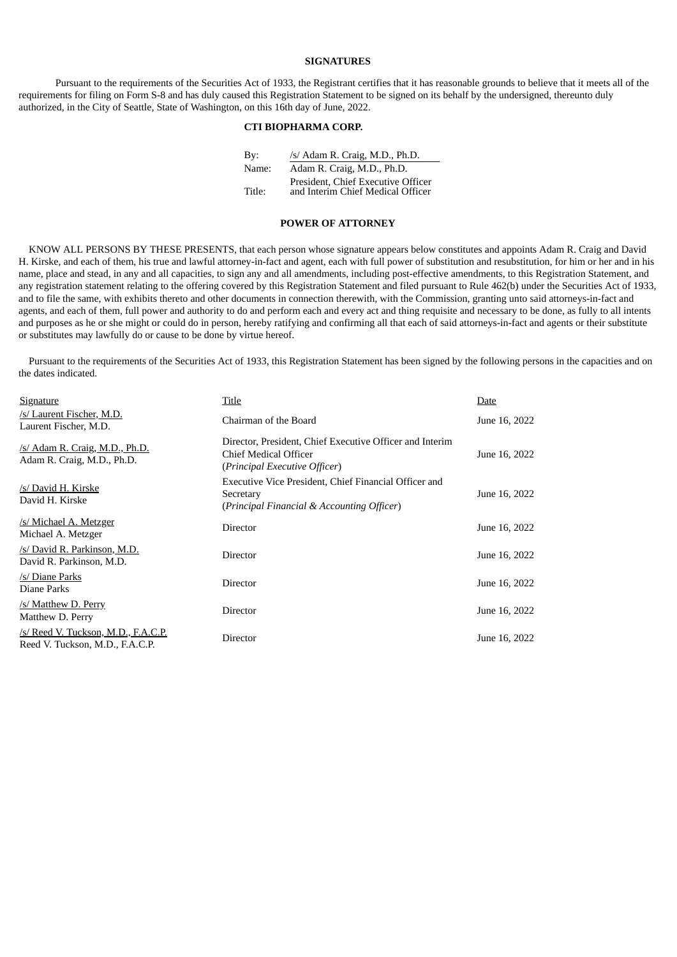#### **SIGNATURES**

Pursuant to the requirements of the Securities Act of 1933, the Registrant certifies that it has reasonable grounds to believe that it meets all of the requirements for filing on Form S-8 and has duly caused this Registration Statement to be signed on its behalf by the undersigned, thereunto duly authorized, in the City of Seattle, State of Washington, on this 16th day of June, 2022.

#### **CTI BIOPHARMA CORP.**

By: /s/ Adam R. Craig, M.D., Ph.D. Name: Adam R. Craig, M.D., Ph.D. Title: President, Chief Executive Officer and Interim Chief Medical Officer

#### **POWER OF ATTORNEY**

KNOW ALL PERSONS BY THESE PRESENTS, that each person whose signature appears below constitutes and appoints Adam R. Craig and David H. Kirske, and each of them, his true and lawful attorney-in-fact and agent, each with full power of substitution and resubstitution, for him or her and in his name, place and stead, in any and all capacities, to sign any and all amendments, including post-effective amendments, to this Registration Statement, and any registration statement relating to the offering covered by this Registration Statement and filed pursuant to Rule 462(b) under the Securities Act of 1933, and to file the same, with exhibits thereto and other documents in connection therewith, with the Commission, granting unto said attorneys-in-fact and agents, and each of them, full power and authority to do and perform each and every act and thing requisite and necessary to be done, as fully to all intents and purposes as he or she might or could do in person, hereby ratifying and confirming all that each of said attorneys-in-fact and agents or their substitute or substitutes may lawfully do or cause to be done by virtue hereof.

Pursuant to the requirements of the Securities Act of 1933, this Registration Statement has been signed by the following persons in the capacities and on the dates indicated.

| <b>Signature</b>                                                       | Title                                                                                                                     | Date          |  |
|------------------------------------------------------------------------|---------------------------------------------------------------------------------------------------------------------------|---------------|--|
| /s/ Laurent Fischer, M.D.<br>Laurent Fischer, M.D.                     | Chairman of the Board                                                                                                     | June 16, 2022 |  |
| /s/ Adam R. Craig, M.D., Ph.D.<br>Adam R. Craig, M.D., Ph.D.           | Director, President, Chief Executive Officer and Interim<br><b>Chief Medical Officer</b><br>(Principal Executive Officer) | June 16, 2022 |  |
| /s/ David H. Kirske<br>David H. Kirske                                 | Executive Vice President, Chief Financial Officer and<br>Secretary<br>(Principal Financial & Accounting Officer)          | June 16, 2022 |  |
| /s/ Michael A. Metzger<br>Michael A. Metzger                           | Director                                                                                                                  | June 16, 2022 |  |
| /s/ David R. Parkinson, M.D.<br>David R. Parkinson, M.D.               | Director                                                                                                                  | June 16, 2022 |  |
| /s/ Diane Parks<br>Diane Parks                                         | Director                                                                                                                  | June 16, 2022 |  |
| /s/ Matthew D. Perry<br>Matthew D. Perry                               | Director                                                                                                                  | June 16, 2022 |  |
| /s/ Reed V. Tuckson, M.D., F.A.C.P.<br>Reed V. Tuckson, M.D., F.A.C.P. | Director                                                                                                                  | June 16, 2022 |  |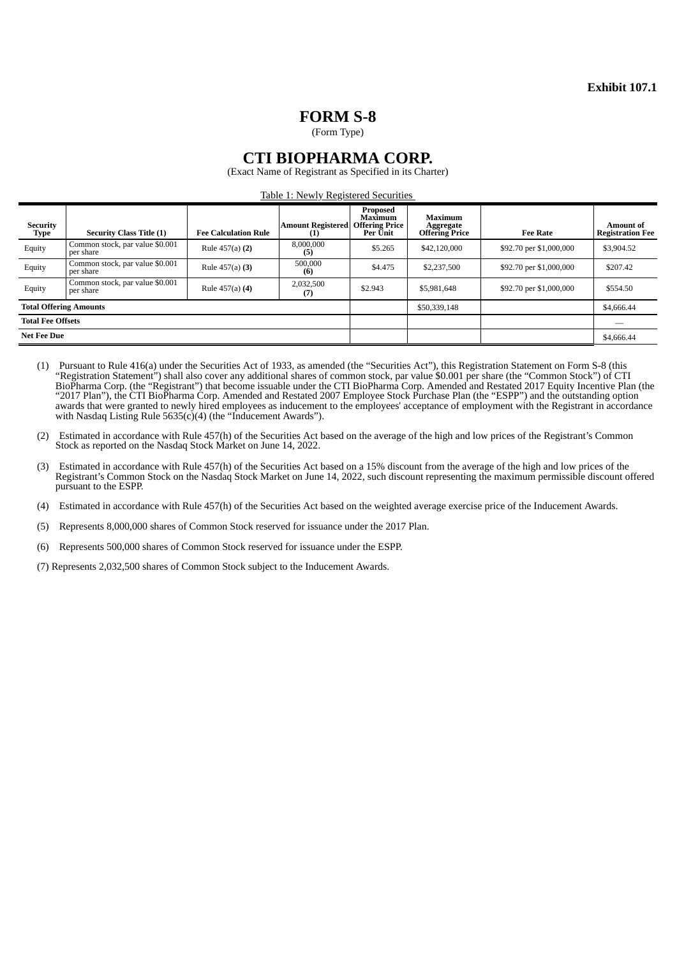## **FORM S-8**

(Form Type)

### **CTI BIOPHARMA CORP.**

(Exact Name of Registrant as Specified in its Charter)

Table 1: Newly Registered Securities

<span id="page-6-0"></span>

| <b>Security</b><br>Type       | <b>Security Class Title (1)</b>              | <b>Fee Calculation Rule</b> | <b>Amount Registered</b><br>(1) | Proposed<br>Maximum<br><b>Offering Price</b><br>Per Unit | <b>Maximum</b><br>Aggregate<br><b>Offering Price</b> | <b>Fee Rate</b>         | <b>Amount of</b><br><b>Registration Fee</b> |
|-------------------------------|----------------------------------------------|-----------------------------|---------------------------------|----------------------------------------------------------|------------------------------------------------------|-------------------------|---------------------------------------------|
| Equity                        | Common stock, par value \$0.001<br>per share | Rule 457(a) (2)             | 8,000,000<br>(5)                | \$5.265                                                  | \$42,120,000                                         | \$92.70 per \$1,000,000 | \$3,904.52                                  |
| Equity                        | Common stock, par value \$0.001<br>per share | Rule 457(a) (3)             | 500,000<br>(6)                  | \$4.475                                                  | \$2,237,500                                          | \$92.70 per \$1,000,000 | \$207.42                                    |
| Equity                        | Common stock, par value \$0.001<br>per share | Rule 457(a) (4)             | 2,032,500<br>(7)                | \$2.943                                                  | \$5,981,648                                          | \$92.70 per \$1,000,000 | \$554.50                                    |
| <b>Total Offering Amounts</b> |                                              |                             |                                 |                                                          | \$50,339,148                                         |                         | \$4,666.44                                  |
| <b>Total Fee Offsets</b>      |                                              |                             |                                 |                                                          |                                                      |                         |                                             |
| <b>Net Fee Due</b>            |                                              |                             |                                 |                                                          |                                                      |                         | \$4,666.44                                  |

- (1) Pursuant to Rule 416(a) under the Securities Act of 1933, as amended (the "Securities Act"), this Registration Statement on Form S-8 (this "Registration Statement") shall also cover any additional shares of common stock, par value \$0.001 per share (the "Common Stock") of CTI BioPharma Corp. (the "Registrant") that become issuable under the CTI BioPharma Corp. Amended and Restated 2017 Equity Incentive Plan (the "2017 Plan"), the CTI BioPharma Corp. Amended and Restated 2007 Employee Stock Purchase Plan (the "ESPP") and the outstanding option awards that were granted to newly hired employees as inducement to the employees' acceptance of employment with the Registrant in accordance with Nasdaq Listing Rule 5635(c)(4) (the "Inducement Awards").
- (2) Estimated in accordance with Rule 457(h) of the Securities Act based on the average of the high and low prices of the Registrant's Common Stock as reported on the Nasdaq Stock Market on June 14, 2022.
- (3) Estimated in accordance with Rule 457(h) of the Securities Act based on a 15% discount from the average of the high and low prices of the Registrant's Common Stock on the Nasdaq Stock Market on June 14, 2022, such discount representing the maximum permissible discount offered pursuant to the ESPP.
- (4) Estimated in accordance with Rule 457(h) of the Securities Act based on the weighted average exercise price of the Inducement Awards.
- (5) Represents 8,000,000 shares of Common Stock reserved for issuance under the 2017 Plan.
- (6) Represents 500,000 shares of Common Stock reserved for issuance under the ESPP.
- (7) Represents 2,032,500 shares of Common Stock subject to the Inducement Awards.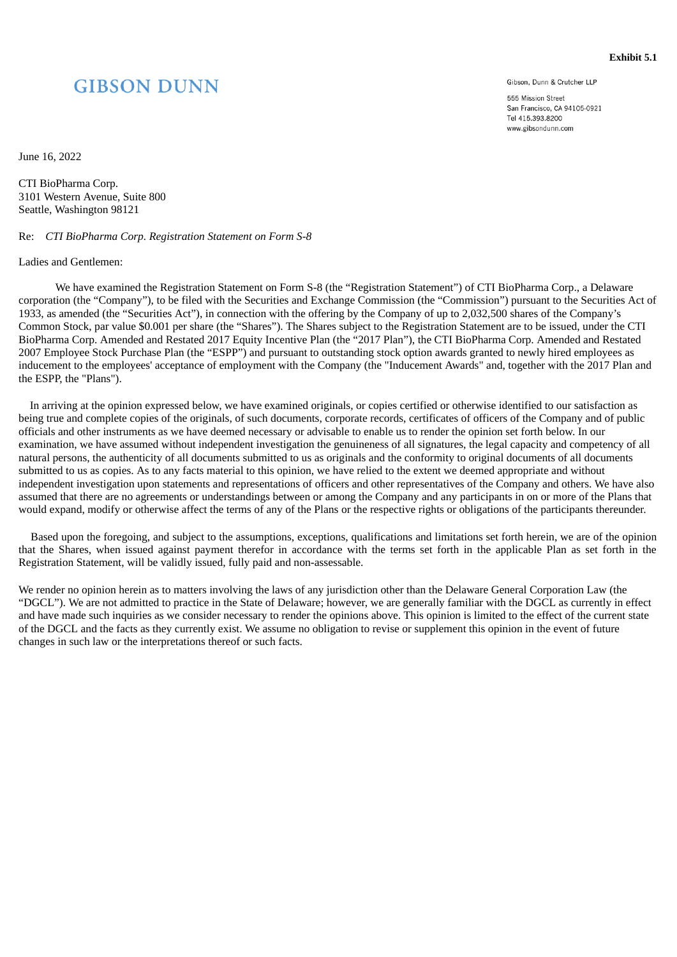# <span id="page-7-0"></span>**GIBSON DUNN**

Gibson, Dunn & Crutcher LLP

**Exhibit 5.1**

555 Mission Street San Francisco, CA 94105-0921 Tel 415.393.8200 www.gibsondunn.com

June 16, 2022

CTI BioPharma Corp. 3101 Western Avenue, Suite 800 Seattle, Washington 98121

#### Re: *CTI BioPharma Corp. Registration Statement on Form S-8*

#### Ladies and Gentlemen:

We have examined the Registration Statement on Form S-8 (the "Registration Statement") of CTI BioPharma Corp., a Delaware corporation (the "Company"), to be filed with the Securities and Exchange Commission (the "Commission") pursuant to the Securities Act of 1933, as amended (the "Securities Act"), in connection with the offering by the Company of up to 2,032,500 shares of the Company's Common Stock, par value \$0.001 per share (the "Shares"). The Shares subject to the Registration Statement are to be issued, under the CTI BioPharma Corp. Amended and Restated 2017 Equity Incentive Plan (the "2017 Plan"), the CTI BioPharma Corp. Amended and Restated 2007 Employee Stock Purchase Plan (the "ESPP") and pursuant to outstanding stock option awards granted to newly hired employees as inducement to the employees' acceptance of employment with the Company (the "Inducement Awards" and, together with the 2017 Plan and the ESPP, the "Plans").

In arriving at the opinion expressed below, we have examined originals, or copies certified or otherwise identified to our satisfaction as being true and complete copies of the originals, of such documents, corporate records, certificates of officers of the Company and of public officials and other instruments as we have deemed necessary or advisable to enable us to render the opinion set forth below. In our examination, we have assumed without independent investigation the genuineness of all signatures, the legal capacity and competency of all natural persons, the authenticity of all documents submitted to us as originals and the conformity to original documents of all documents submitted to us as copies. As to any facts material to this opinion, we have relied to the extent we deemed appropriate and without independent investigation upon statements and representations of officers and other representatives of the Company and others. We have also assumed that there are no agreements or understandings between or among the Company and any participants in on or more of the Plans that would expand, modify or otherwise affect the terms of any of the Plans or the respective rights or obligations of the participants thereunder.

Based upon the foregoing, and subject to the assumptions, exceptions, qualifications and limitations set forth herein, we are of the opinion that the Shares, when issued against payment therefor in accordance with the terms set forth in the applicable Plan as set forth in the Registration Statement, will be validly issued, fully paid and non-assessable.

We render no opinion herein as to matters involving the laws of any jurisdiction other than the Delaware General Corporation Law (the "DGCL"). We are not admitted to practice in the State of Delaware; however, we are generally familiar with the DGCL as currently in effect and have made such inquiries as we consider necessary to render the opinions above. This opinion is limited to the effect of the current state of the DGCL and the facts as they currently exist. We assume no obligation to revise or supplement this opinion in the event of future changes in such law or the interpretations thereof or such facts.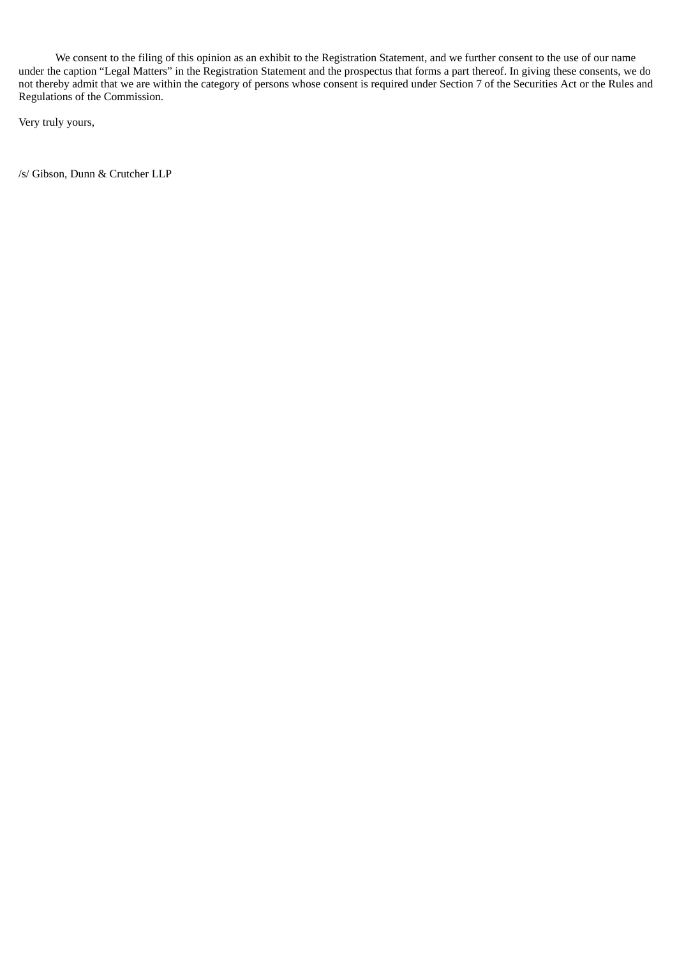We consent to the filing of this opinion as an exhibit to the Registration Statement, and we further consent to the use of our name under the caption "Legal Matters" in the Registration Statement and the prospectus that forms a part thereof. In giving these consents, we do not thereby admit that we are within the category of persons whose consent is required under Section 7 of the Securities Act or the Rules and Regulations of the Commission.

Very truly yours,

/s/ Gibson, Dunn & Crutcher LLP